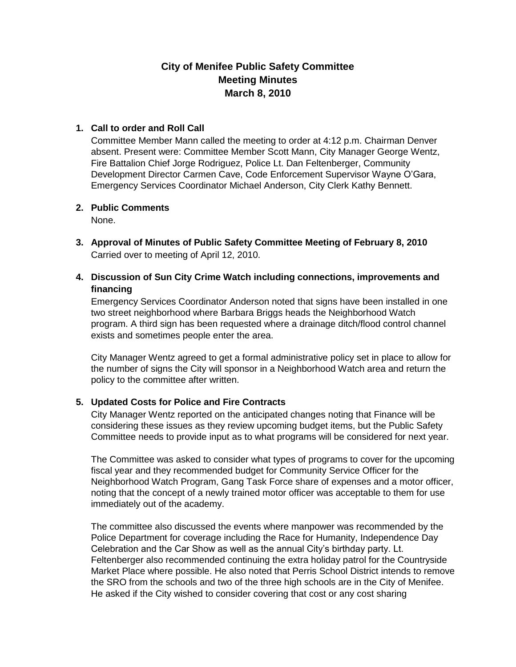# **City of Menifee Public Safety Committee Meeting Minutes March 8, 2010**

### **1. Call to order and Roll Call**

Committee Member Mann called the meeting to order at 4:12 p.m. Chairman Denver absent. Present were: Committee Member Scott Mann, City Manager George Wentz, Fire Battalion Chief Jorge Rodriguez, Police Lt. Dan Feltenberger, Community Development Director Carmen Cave, Code Enforcement Supervisor Wayne O'Gara, Emergency Services Coordinator Michael Anderson, City Clerk Kathy Bennett.

### **2. Public Comments**

None.

- **3. Approval of Minutes of Public Safety Committee Meeting of February 8, 2010** Carried over to meeting of April 12, 2010.
- **4. Discussion of Sun City Crime Watch including connections, improvements and financing**

Emergency Services Coordinator Anderson noted that signs have been installed in one two street neighborhood where Barbara Briggs heads the Neighborhood Watch program. A third sign has been requested where a drainage ditch/flood control channel exists and sometimes people enter the area.

City Manager Wentz agreed to get a formal administrative policy set in place to allow for the number of signs the City will sponsor in a Neighborhood Watch area and return the policy to the committee after written.

### **5. Updated Costs for Police and Fire Contracts**

City Manager Wentz reported on the anticipated changes noting that Finance will be considering these issues as they review upcoming budget items, but the Public Safety Committee needs to provide input as to what programs will be considered for next year.

The Committee was asked to consider what types of programs to cover for the upcoming fiscal year and they recommended budget for Community Service Officer for the Neighborhood Watch Program, Gang Task Force share of expenses and a motor officer, noting that the concept of a newly trained motor officer was acceptable to them for use immediately out of the academy.

The committee also discussed the events where manpower was recommended by the Police Department for coverage including the Race for Humanity, Independence Day Celebration and the Car Show as well as the annual City's birthday party. Lt. Feltenberger also recommended continuing the extra holiday patrol for the Countryside Market Place where possible. He also noted that Perris School District intends to remove the SRO from the schools and two of the three high schools are in the City of Menifee. He asked if the City wished to consider covering that cost or any cost sharing